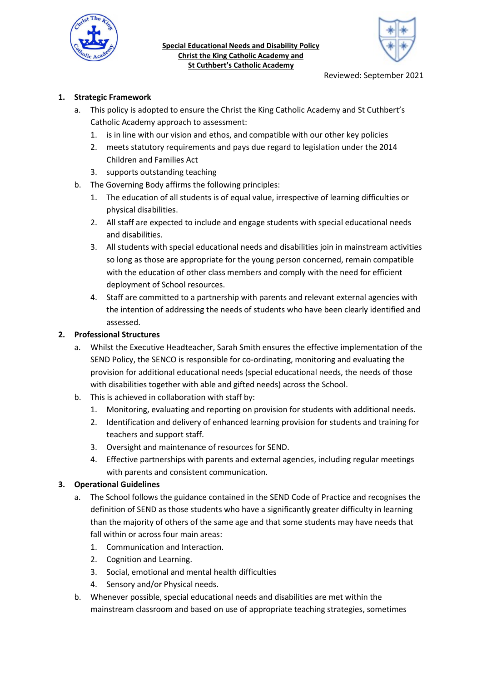

Special Educational Needs and Disability Policy Christ the King Catholic Academy and St Cuthbert's Catholic Academy



## 1. Strategic Framework

- a. This policy is adopted to ensure the Christ the King Catholic Academy and St Cuthbert's Catholic Academy approach to assessment:
	- 1. is in line with our vision and ethos, and compatible with our other key policies
	- 2. meets statutory requirements and pays due regard to legislation under the 2014 Children and Families Act
	- 3. supports outstanding teaching
- b. The Governing Body affirms the following principles:
	- 1. The education of all students is of equal value, irrespective of learning difficulties or physical disabilities.
	- 2. All staff are expected to include and engage students with special educational needs and disabilities.
	- 3. All students with special educational needs and disabilities join in mainstream activities so long as those are appropriate for the young person concerned, remain compatible with the education of other class members and comply with the need for efficient deployment of School resources.
	- 4. Staff are committed to a partnership with parents and relevant external agencies with the intention of addressing the needs of students who have been clearly identified and assessed.

## 2. Professional Structures

- a. Whilst the Executive Headteacher, Sarah Smith ensures the effective implementation of the SEND Policy, the SENCO is responsible for co-ordinating, monitoring and evaluating the provision for additional educational needs (special educational needs, the needs of those with disabilities together with able and gifted needs) across the School.
- b. This is achieved in collaboration with staff by:
	- 1. Monitoring, evaluating and reporting on provision for students with additional needs.
	- 2. Identification and delivery of enhanced learning provision for students and training for teachers and support staff.
	- 3. Oversight and maintenance of resources for SEND.
	- 4. Effective partnerships with parents and external agencies, including regular meetings with parents and consistent communication.

## 3. Operational Guidelines

- a. The School follows the guidance contained in the SEND Code of Practice and recognises the definition of SEND as those students who have a significantly greater difficulty in learning than the majority of others of the same age and that some students may have needs that fall within or across four main areas:
	- 1. Communication and Interaction.
	- 2. Cognition and Learning.
	- 3. Social, emotional and mental health difficulties
	- 4. Sensory and/or Physical needs.
- b. Whenever possible, special educational needs and disabilities are met within the mainstream classroom and based on use of appropriate teaching strategies, sometimes